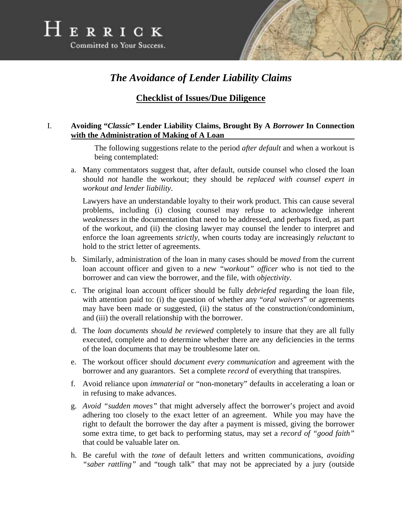



# *The Avoidance of Lender Liability Claims*

## **Checklist of Issues/Due Diligence**

### I. **Avoiding "***Classic***" Lender Liability Claims, Brought By A** *Borrower* **In Connection with the Administration of Making of A Loan**

The following suggestions relate to the period *after default* and when a workout is being contemplated:

a. Many commentators suggest that, after default, outside counsel who closed the loan should *not* handle the workout; they should be *replaced with counsel expert in workout and lender liability*.

Lawyers have an understandable loyalty to their work product. This can cause several problems, including (i) closing counsel may refuse to acknowledge inherent *weaknesses* in the documentation that need to be addressed, and perhaps fixed, as part of the workout, and (ii) the closing lawyer may counsel the lender to interpret and enforce the loan agreements *strictly*, when courts today are increasingly *reluctant* to hold to the strict letter of agreements.

- b. Similarly, administration of the loan in many cases should be *moved* from the current loan account officer and given to a *new "workout" officer* who is not tied to the borrower and can view the borrower, and the file, with *objectivity*.
- c. The original loan account officer should be fully *debriefed* regarding the loan file, with attention paid to: (i) the question of whether any "*oral waivers*" or agreements may have been made or suggested, (ii) the status of the construction/condominium, and (iii) the overall relationship with the borrower.
- d. The *loan documents should be reviewed* completely to insure that they are all fully executed, complete and to determine whether there are any deficiencies in the terms of the loan documents that may be troublesome later on.
- e. The workout officer should *document every communication* and agreement with the borrower and any guarantors. Set a complete *record* of everything that transpires.
- f. Avoid reliance upon *immaterial* or "non-monetary" defaults in accelerating a loan or in refusing to make advances.
- g. *Avoid "sudden moves"* that might adversely affect the borrower's project and avoid adhering too closely to the exact letter of an agreement. While you may have the right to default the borrower the day after a payment is missed, giving the borrower some extra time, to get back to performing status, may set a *record of "good faith"* that could be valuable later on.
- h. Be careful with the *tone* of default letters and written communications, *avoiding "saber rattling"* and "tough talk" that may not be appreciated by a jury (outside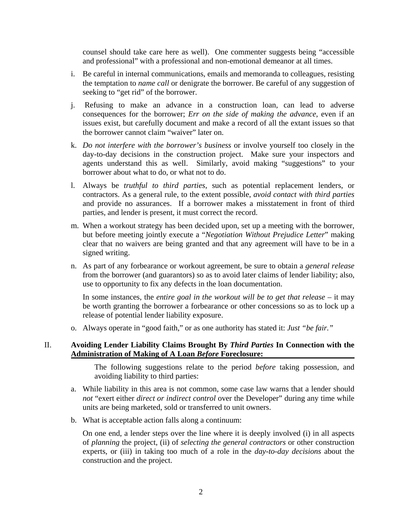counsel should take care here as well). One commenter suggests being "accessible and professional" with a professional and non-emotional demeanor at all times.

- i. Be careful in internal communications, emails and memoranda to colleagues, resisting the temptation to *name call* or denigrate the borrower. Be careful of any suggestion of seeking to "get rid" of the borrower.
- j. Refusing to make an advance in a construction loan, can lead to adverse consequences for the borrower; *Err on the side of making the advance*, even if an issues exist, but carefully document and make a record of all the extant issues so that the borrower cannot claim "waiver" later on.
- k. *Do not interfere with the borrower's business* or involve yourself too closely in the day-to-day decisions in the construction project. Make sure your inspectors and agents understand this as well. Similarly, avoid making "suggestions" to your borrower about what to do, or what not to do.
- l. Always be *truthful to third parties*, such as potential replacement lenders, or contractors. As a general rule, to the extent possible, *avoid contact with third parties* and provide no assurances. If a borrower makes a misstatement in front of third parties, and lender is present, it must correct the record.
- m. When a workout strategy has been decided upon, set up a meeting with the borrower, but before meeting jointly execute a "*Negotiation Without Prejudice Letter*" making clear that no waivers are being granted and that any agreement will have to be in a signed writing.
- n. As part of any forbearance or workout agreement, be sure to obtain a *general release* from the borrower (and guarantors) so as to avoid later claims of lender liability; also, use to opportunity to fix any defects in the loan documentation.

In some instances, the *entire goal in the workout will be to get that release* – it may be worth granting the borrower a forbearance or other concessions so as to lock up a release of potential lender liability exposure.

o. Always operate in "good faith," or as one authority has stated it: *Just "be fair."*

### II. **Avoiding Lender Liability Claims Brought By** *Third Parties* **In Connection with the Administration of Making of A Loan** *Before* **Foreclosure:**

The following suggestions relate to the period *before* taking possession, and avoiding liability to third parties:

- a. While liability in this area is not common, some case law warns that a lender should *not* "exert either *direct or indirect control* over the Developer" during any time while units are being marketed, sold or transferred to unit owners.
- b. What is acceptable action falls along a continuum:

On one end, a lender steps over the line where it is deeply involved (i) in all aspects of *planning* the project, (ii) of *selecting the general contractors* or other construction experts, or (iii) in taking too much of a role in the *day-to-day decisions* about the construction and the project.